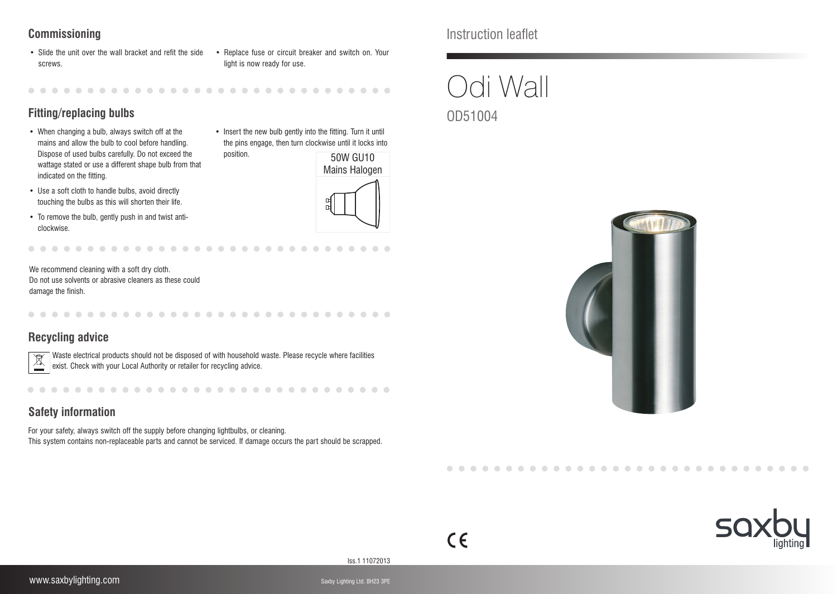- Slide the unit over the wall bracket and refit the side screws.
- Replace fuse or circuit breaker and switch on. Your light is now ready for use.

• Insert the new bulb gently into the fitting. Turn it until the pins engage, then turn clockwise until it locks into

> 50W GU10 Mains Halogen

# **Fitting/replacing bulbs**

- When changing a bulb, always switch off at the mains and allow the bulb to cool before handling. Dispose of used bulbs carefully. Do not exceed the wattage stated or use a different shape bulb from that indicated on the fitting.
- Use a soft cloth to handle bulbs, avoid directly touching the bulbs as this will shorten their life.
- • To remove the bulb, gently push in and twist anticlockwise.

We recommend cleaning with a soft dry cloth. Do not use solvents or abrasive cleaners as these could damage the finish.

# **Recycling advice**



Waste electrical products should not be disposed of with household waste. Please recycle where facilities exist. Check with your Local Authority or retailer for recycling advice.

position.

# **Safety information**

For your safety, always switch off the supply before changing lightbulbs, or cleaning. This system contains non-replaceable parts and cannot be serviced. If damage occurs the part should be scrapped.

**Commissioning** Instruction leaflet

# Odi Wall OD51004





#### Iss.1 11072013

 $C \in$